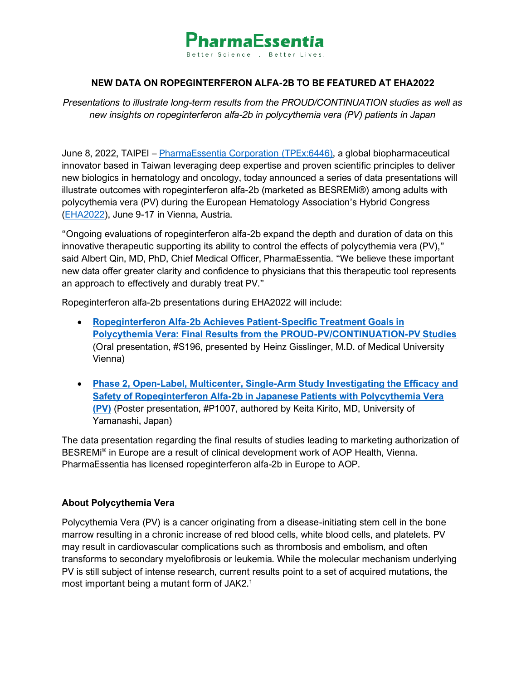

# **NEW DATA ON ROPEGINTERFERON ALFA-2B TO BE FEATURED AT EHA2022**

*Presentations to illustrate long-term results from the PROUD/CONTINUATION studies as well as new insights on ropeginterferon alfa-2b in polycythemia vera (PV) patients in Japan* 

June 8, 2022, TAIPEI – [PharmaEssentia Corporation](http://www.pharmaessentia.com/) (TPEx:6446), a global biopharmaceutical innovator based in Taiwan leveraging deep expertise and proven scientific principles to deliver new biologics in hematology and oncology, today announced a series of data presentations will illustrate outcomes with ropeginterferon alfa-2b (marketed as BESREMi®) among adults with polycythemia vera (PV) during the European Hematology Association's Hybrid Congress [\(EHA2022\)](https://ehaweb.org/congress/eha2022-hybrid/eha2022-congress/), June 9-17 in Vienna, Austria.

"Ongoing evaluations of ropeginterferon alfa-2b expand the depth and duration of data on this innovative therapeutic supporting its ability to control the effects of polycythemia vera (PV)," said Albert Qin, MD, PhD, Chief Medical Officer, PharmaEssentia. "We believe these important new data offer greater clarity and confidence to physicians that this therapeutic tool represents an approach to effectively and durably treat PV."

Ropeginterferon alfa-2b presentations during EHA2022 will include:

- **[Ropeginterferon Alfa-2b Achieves Patient-Specific Treatment Goals in](https://library.ehaweb.org/eha/2022/eha2022-congress/357060/heinz.gisslinger.ropeginterferon.alfa-2b.achieves.patient-specific.treatment.html?f=menu=6*browseby=8*sortby=2*media=3*ce_id=2233*ot_id=26855*marker=1751*featured=17676)  [Polycythemia Vera: Final Results from the PROUD-PV/CONTINUATION-PV Studies](https://library.ehaweb.org/eha/2022/eha2022-congress/357060/heinz.gisslinger.ropeginterferon.alfa-2b.achieves.patient-specific.treatment.html?f=menu=6*browseby=8*sortby=2*media=3*ce_id=2233*ot_id=26855*marker=1751*featured=17676)** (Oral presentation, #S196, presented by Heinz Gisslinger, M.D. of Medical University Vienna)
- **[Phase 2, Open-Label, Multicenter, Single-Arm Study Investigating the Efficacy and](https://library.ehaweb.org/eha/2022/eha2022-congress/357867/keita.kirito.phase.2.open-label.multicenter.single-arm.study.investigating.the.html?f=menu%3D14%2Abrowseby%3D8%2Asortby%3D2%2Amedia%3D3%2Aspeaker%3D101145)  [Safety of Ropeginterferon Alfa-2b in Japanese Patients with Polycythemia Vera](https://library.ehaweb.org/eha/2022/eha2022-congress/357867/keita.kirito.phase.2.open-label.multicenter.single-arm.study.investigating.the.html?f=menu%3D14%2Abrowseby%3D8%2Asortby%3D2%2Amedia%3D3%2Aspeaker%3D101145)  [\(PV\)](https://library.ehaweb.org/eha/2022/eha2022-congress/357867/keita.kirito.phase.2.open-label.multicenter.single-arm.study.investigating.the.html?f=menu%3D14%2Abrowseby%3D8%2Asortby%3D2%2Amedia%3D3%2Aspeaker%3D101145)** (Poster presentation, #P1007, authored by Keita Kirito, MD, University of Yamanashi, Japan)

The data presentation regarding the final results of studies leading to marketing authorization of BESREMi® in Europe are a result of clinical development work of AOP Health, Vienna. PharmaEssentia has licensed ropeginterferon alfa-2b in Europe to AOP.

### **About Polycythemia Vera**

Polycythemia Vera (PV) is a cancer originating from a disease-initiating stem cell in the bone marrow resulting in a chronic increase of red blood cells, white blood cells, and platelets. PV may result in cardiovascular complications such as thrombosis and embolism, and often transforms to secondary myelofibrosis or leukemia. While the molecular mechanism underlying PV is still subject of intense research, current results point to a set of acquired mutations, the most important being a mutant form of JAK2.<sup>1</sup>